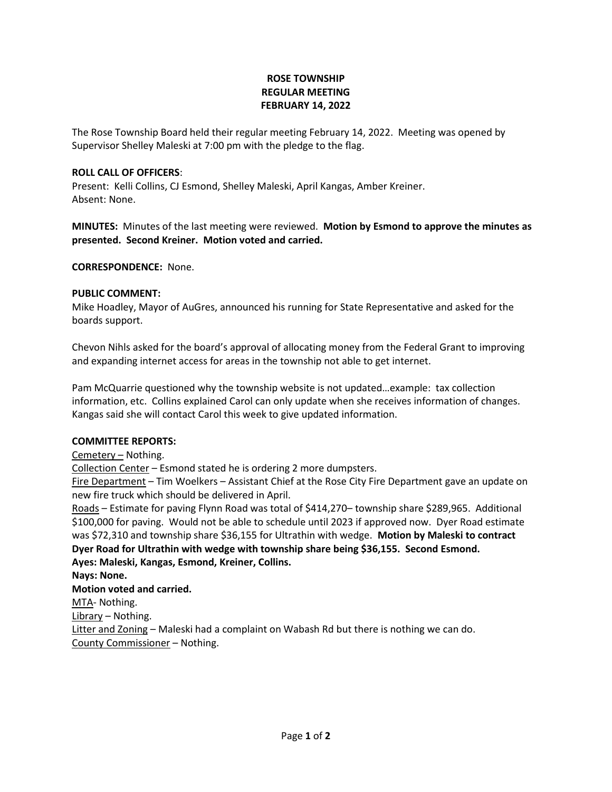# **ROSE TOWNSHIP REGULAR MEETING FEBRUARY 14, 2022**

The Rose Township Board held their regular meeting February 14, 2022. Meeting was opened by Supervisor Shelley Maleski at 7:00 pm with the pledge to the flag.

## **ROLL CALL OF OFFICERS**:

Present: Kelli Collins, CJ Esmond, Shelley Maleski, April Kangas, Amber Kreiner. Absent: None.

**MINUTES:** Minutes of the last meeting were reviewed. **Motion by Esmond to approve the minutes as presented. Second Kreiner. Motion voted and carried.**

**CORRESPONDENCE:** None.

### **PUBLIC COMMENT:**

Mike Hoadley, Mayor of AuGres, announced his running for State Representative and asked for the boards support.

Chevon Nihls asked for the board's approval of allocating money from the Federal Grant to improving and expanding internet access for areas in the township not able to get internet.

Pam McQuarrie questioned why the township website is not updated…example: tax collection information, etc. Collins explained Carol can only update when she receives information of changes. Kangas said she will contact Carol this week to give updated information.

#### **COMMITTEE REPORTS:**

Cemetery – Nothing.

Collection Center – Esmond stated he is ordering 2 more dumpsters.

Fire Department – Tim Woelkers – Assistant Chief at the Rose City Fire Department gave an update on new fire truck which should be delivered in April.

Roads – Estimate for paving Flynn Road was total of \$414,270– township share \$289,965. Additional \$100,000 for paving. Would not be able to schedule until 2023 if approved now. Dyer Road estimate was \$72,310 and township share \$36,155 for Ultrathin with wedge. **Motion by Maleski to contract Dyer Road for Ultrathin with wedge with township share being \$36,155. Second Esmond. Ayes: Maleski, Kangas, Esmond, Kreiner, Collins.**

**Nays: None.**

# **Motion voted and carried.**

MTA- Nothing.

Library – Nothing.

Litter and Zoning – Maleski had a complaint on Wabash Rd but there is nothing we can do. County Commissioner – Nothing.